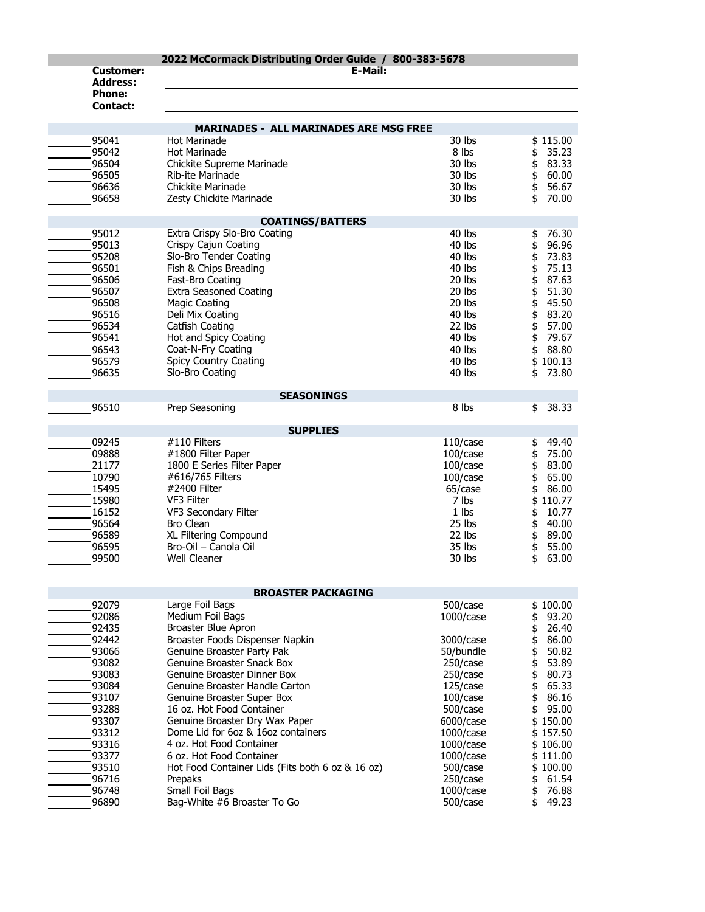|                  | 2022 McCormack Distributing Order Guide / 800-383-5678 |              |             |
|------------------|--------------------------------------------------------|--------------|-------------|
| <b>Customer:</b> | E-Mail:                                                |              |             |
| <b>Address:</b>  |                                                        |              |             |
| <b>Phone:</b>    |                                                        |              |             |
| <b>Contact:</b>  |                                                        |              |             |
|                  |                                                        |              |             |
|                  | <b>MARINADES - ALL MARINADES ARE MSG FREE</b>          |              |             |
| 95041            | <b>Hot Marinade</b>                                    | 30 lbs       | \$115.00    |
| 95042            | Hot Marinade                                           | 8 lbs        | \$<br>35.23 |
| 96504            | Chickite Supreme Marinade                              | 30 lbs       | 83.33<br>\$ |
| 96505            | Rib-ite Marinade                                       | 30 lbs       | \$<br>60.00 |
| 96636            | <b>Chickite Marinade</b>                               | 30 lbs       | \$<br>56.67 |
| 96658            | Zesty Chickite Marinade                                | 30 lbs       | \$<br>70.00 |
|                  | <b>COATINGS/BATTERS</b>                                |              |             |
| 95012            | Extra Crispy Slo-Bro Coating                           | 40 lbs       | 76.30<br>\$ |
| 95013            | Crispy Cajun Coating                                   | 40 lbs       | 96.96       |
|                  |                                                        |              | \$          |
| 95208            | Slo-Bro Tender Coating                                 | 40 lbs       | \$<br>73.83 |
| 96501            | Fish & Chips Breading                                  | 40 lbs       | 75.13<br>\$ |
| 96506            | Fast-Bro Coating                                       | 20 lbs       | \$<br>87.63 |
| 96507            | <b>Extra Seasoned Coating</b>                          | 20 lbs       | \$<br>51.30 |
| 96508            | <b>Magic Coating</b>                                   | 20 lbs       | \$<br>45.50 |
| 96516            | Deli Mix Coating                                       | 40 lbs       | \$<br>83.20 |
| 96534            | Catfish Coating                                        | 22 lbs       | \$<br>57.00 |
| 96541            | Hot and Spicy Coating                                  | 40 lbs       | \$<br>79.67 |
| 96543            | Coat-N-Fry Coating                                     | 40 lbs       | 88.80<br>\$ |
| 96579            | <b>Spicy Country Coating</b>                           | 40 lbs       | \$100.13    |
|                  |                                                        |              |             |
| 96635            | Slo-Bro Coating                                        | 40 lbs       | 73.80<br>\$ |
|                  | <b>SEASONINGS</b>                                      |              |             |
| 96510            | Prep Seasoning                                         | 8 lbs        | 38.33<br>\$ |
|                  |                                                        |              |             |
|                  | <b>SUPPLIES</b>                                        |              |             |
| 09245            | #110 Filters                                           | $110/c$ ase  | 49.40<br>\$ |
| 09888            | #1800 Filter Paper                                     | $100/c$ ase  | 75.00<br>\$ |
| 21177            | 1800 E Series Filter Paper                             | $100/c$ ase  | \$<br>83.00 |
| 10790            | #616/765 Filters                                       | $100/c$ ase  | \$<br>65.00 |
| 15495            | #2400 Filter                                           | 65/case      | \$<br>86.00 |
| 15980            | VF3 Filter                                             | 7 lbs        | \$110.77    |
| 16152            | VF3 Secondary Filter                                   | 1 lbs        | \$<br>10.77 |
| 96564            | <b>Bro Clean</b>                                       | 25 lbs       | \$<br>40.00 |
| 96589            | XL Filtering Compound                                  | 22 lbs       | 89.00       |
|                  |                                                        | 35 lbs       | \$          |
| 96595            | Bro-Oil - Canola Oil                                   |              | \$<br>55.00 |
| 99500            | Well Cleaner                                           | 30 lbs       | 63.00<br>\$ |
|                  |                                                        |              |             |
|                  | <b>BROASTER PACKAGING</b>                              |              |             |
| 92079            | Large Foil Bags                                        | 500/case     | \$100.00    |
| 92086            | Medium Foil Bags                                       | $1000/c$ ase | \$<br>93.20 |
| 92435            | <b>Broaster Blue Apron</b>                             |              | \$<br>26.40 |
| 92442            | Broaster Foods Dispenser Napkin                        | 3000/case    | \$<br>86.00 |
| 93066            | Genuine Broaster Party Pak                             | 50/bundle    | \$<br>50.82 |
| 93082            | Genuine Broaster Snack Box                             | 250/case     | \$<br>53.89 |
| 93083            | Genuine Broaster Dinner Box                            | 250/case     | \$<br>80.73 |
| 93084            | Genuine Broaster Handle Carton                         |              | 65.33       |
|                  |                                                        | 125/case     | \$          |
| 93107            | Genuine Broaster Super Box                             | $100/c$ ase  | \$<br>86.16 |
| 93288            | 16 oz. Hot Food Container                              | 500/case     | 95.00<br>\$ |
| 93307            | Genuine Broaster Dry Wax Paper                         | 6000/case    | \$150.00    |
| 93312            | Dome Lid for 6oz & 16oz containers                     | $1000/c$ ase | \$157.50    |
| 93316            | 4 oz. Hot Food Container                               | $1000/c$ ase | \$106.00    |
| 93377            | 6 oz. Hot Food Container                               | $1000/c$ ase | \$111.00    |
| 93510            | Hot Food Container Lids (Fits both 6 oz & 16 oz)       | 500/case     | \$100.00    |
| 96716            | Prepaks                                                | 250/case     | 61.54<br>\$ |
| 96748            | Small Foil Bags                                        | $1000/c$ ase | \$<br>76.88 |
| 96890            | Bag-White #6 Broaster To Go                            |              | \$<br>49.23 |
|                  |                                                        | 500/case     |             |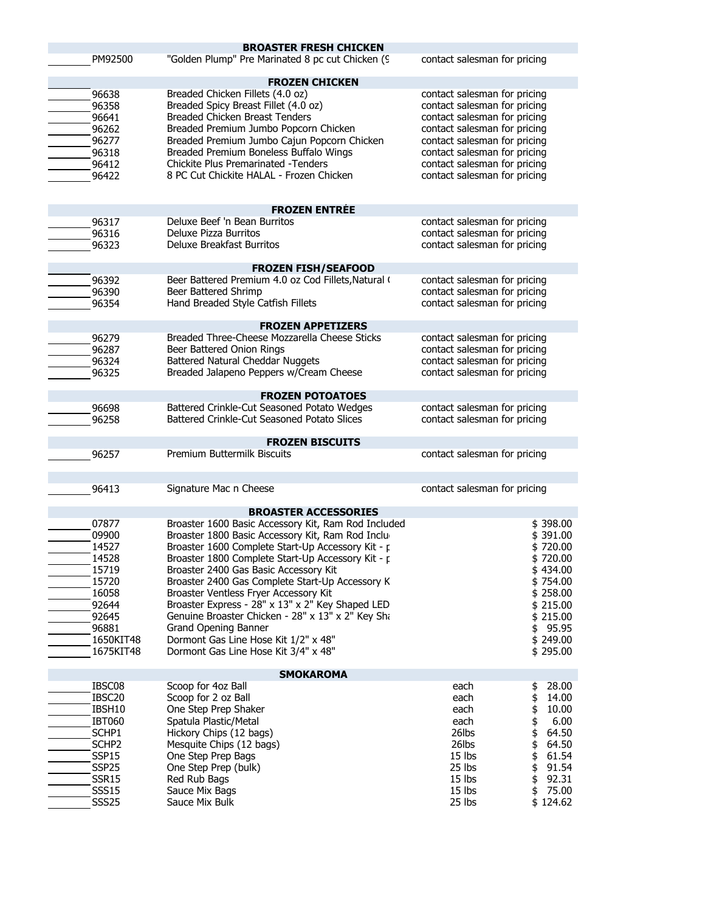| PM92500                           | <b>BROASTER FRESH CHICKEN</b><br>"Golden Plump" Pre Marinated 8 pc cut Chicken (9) | contact salesman for pricing                |
|-----------------------------------|------------------------------------------------------------------------------------|---------------------------------------------|
|                                   |                                                                                    |                                             |
|                                   | <b>FROZEN CHICKEN</b>                                                              |                                             |
| 96638                             | Breaded Chicken Fillets (4.0 oz)                                                   | contact salesman for pricing                |
| 96358                             | Breaded Spicy Breast Fillet (4.0 oz)                                               | contact salesman for pricing                |
| 96641                             | Breaded Chicken Breast Tenders                                                     | contact salesman for pricing                |
| 96262                             | Breaded Premium Jumbo Popcorn Chicken                                              | contact salesman for pricing                |
|                                   |                                                                                    |                                             |
| 96277                             | Breaded Premium Jumbo Cajun Popcorn Chicken                                        | contact salesman for pricing                |
| 96318                             | Breaded Premium Boneless Buffalo Wings                                             | contact salesman for pricing                |
| 96412                             | Chickite Plus Premarinated -Tenders                                                | contact salesman for pricing                |
| 96422                             | 8 PC Cut Chickite HALAL - Frozen Chicken                                           | contact salesman for pricing                |
|                                   |                                                                                    |                                             |
|                                   |                                                                                    |                                             |
| 96317                             | <b>FROZEN ENTRÉE</b><br>Deluxe Beef 'n Bean Burritos                               | contact salesman for pricing                |
|                                   |                                                                                    |                                             |
| 96316                             | <b>Deluxe Pizza Burritos</b>                                                       | contact salesman for pricing                |
| 96323                             | Deluxe Breakfast Burritos                                                          | contact salesman for pricing                |
|                                   |                                                                                    |                                             |
| 96392                             | <b>FROZEN FISH/SEAFOOD</b><br>Beer Battered Premium 4.0 oz Cod Fillets, Natural (  | contact salesman for pricing                |
|                                   |                                                                                    |                                             |
| 96390                             | Beer Battered Shrimp                                                               | contact salesman for pricing                |
| 96354                             | Hand Breaded Style Catfish Fillets                                                 | contact salesman for pricing                |
|                                   | <b>FROZEN APPETIZERS</b>                                                           |                                             |
| 96279                             | Breaded Three-Cheese Mozzarella Cheese Sticks                                      | contact salesman for pricing                |
| 96287                             | Beer Battered Onion Rings                                                          | contact salesman for pricing                |
| 96324                             | Battered Natural Cheddar Nuggets                                                   | contact salesman for pricing                |
|                                   |                                                                                    |                                             |
| 96325                             | Breaded Jalapeno Peppers w/Cream Cheese                                            | contact salesman for pricing                |
|                                   | <b>FROZEN POTOATOES</b>                                                            |                                             |
| 96698                             | Battered Crinkle-Cut Seasoned Potato Wedges                                        | contact salesman for pricing                |
| 96258                             | Battered Crinkle-Cut Seasoned Potato Slices                                        | contact salesman for pricing                |
|                                   |                                                                                    |                                             |
|                                   | <b>FROZEN BISCUITS</b>                                                             |                                             |
| 96257                             | <b>Premium Buttermilk Biscuits</b>                                                 | contact salesman for pricing                |
|                                   |                                                                                    |                                             |
|                                   |                                                                                    |                                             |
|                                   |                                                                                    |                                             |
| 96413                             | Signature Mac n Cheese                                                             | contact salesman for pricing                |
|                                   | <b>BROASTER ACCESSORIES</b>                                                        |                                             |
|                                   |                                                                                    |                                             |
| 07877                             | Broaster 1600 Basic Accessory Kit, Ram Rod Included                                | \$398.00                                    |
| 09900                             | Broaster 1800 Basic Accessory Kit, Ram Rod Inclu                                   | \$391.00                                    |
| 14527                             | Broaster 1600 Complete Start-Up Accessory Kit - p                                  | \$720.00                                    |
| 14528                             | Broaster 1800 Complete Start-Up Accessory Kit - p                                  | \$720.00                                    |
| 15719                             | Broaster 2400 Gas Basic Accessory Kit                                              | \$434.00                                    |
| 15720                             | Broaster 2400 Gas Complete Start-Up Accessory K                                    | \$754.00                                    |
| 16058                             | Broaster Ventless Fryer Accessory Kit                                              | \$258.00                                    |
| 92644                             | Broaster Express - 28" x 13" x 2" Key Shaped LED                                   | \$215.00                                    |
| 92645                             | Genuine Broaster Chicken - 28" x 13" x 2" Key Shi                                  | \$215.00                                    |
|                                   |                                                                                    | S                                           |
| 96881                             | Grand Opening Banner                                                               | 95.95                                       |
| 1650KIT48                         | Dormont Gas Line Hose Kit 1/2" x 48"                                               | \$249.00                                    |
| 1675KIT48                         | Dormont Gas Line Hose Kit 3/4" x 48"                                               | \$295.00                                    |
|                                   | <b>SMOKAROMA</b>                                                                   |                                             |
| IBSC08                            | Scoop for 4oz Ball                                                                 | 28.00<br>each<br>\$                         |
| IBSC <sub>20</sub>                | Scoop for 2 oz Ball                                                                | 14.00<br>each                               |
|                                   |                                                                                    | \$<br>each                                  |
| IBSH10                            | One Step Prep Shaker                                                               | 10.00<br>\$                                 |
| <b>IBT060</b>                     | Spatula Plastic/Metal                                                              | \$<br>6.00<br>each                          |
| SCHP1                             | Hickory Chips (12 bags)                                                            | 26lbs<br>\$<br>64.50                        |
| SCHP <sub>2</sub>                 | Mesquite Chips (12 bags)                                                           | 26lbs<br>\$<br>64.50                        |
| SSP15                             | One Step Prep Bags                                                                 | 61.54<br>$15$ lbs<br>\$                     |
| SSP <sub>25</sub>                 | One Step Prep (bulk)                                                               | 91.54<br>25 lbs<br>\$                       |
| SSR <sub>15</sub>                 | Red Rub Bags                                                                       | 15 lbs<br>92.31<br>\$                       |
| <b>SSS15</b><br>SSS <sub>25</sub> | Sauce Mix Bags<br>Sauce Mix Bulk                                                   | 15 lbs<br>75.00<br>\$<br>25 lbs<br>\$124.62 |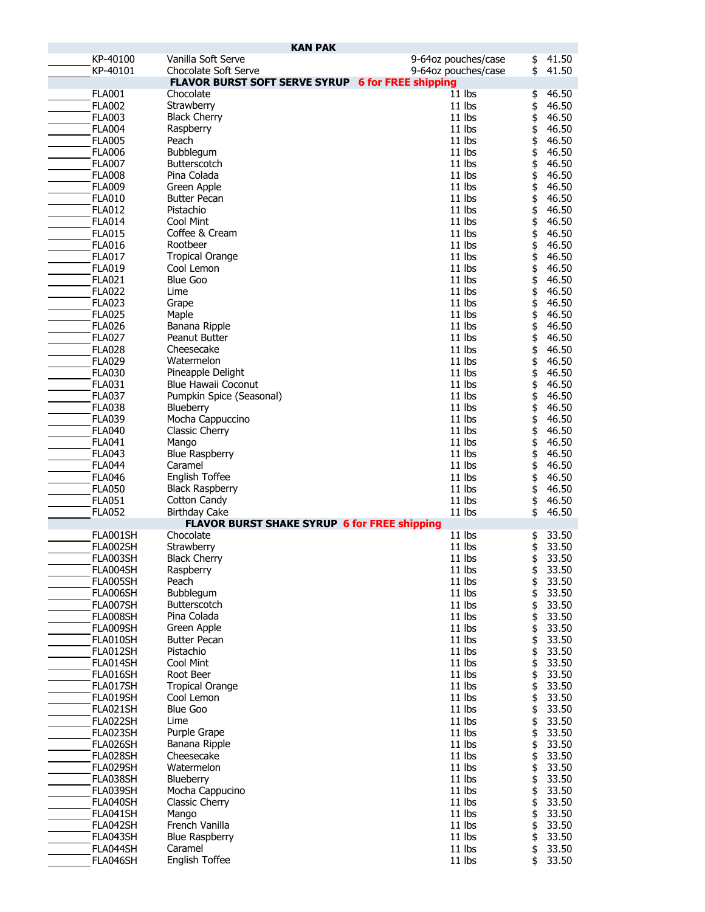| <b>KAN PAK</b>                 |                                                   |                     |                                      |                |  |  |  |
|--------------------------------|---------------------------------------------------|---------------------|--------------------------------------|----------------|--|--|--|
| KP-40100                       | Vanilla Soft Serve                                | 9-64oz pouches/case | \$                                   | 41.50          |  |  |  |
| KP-40101                       | <b>Chocolate Soft Serve</b>                       | 9-64oz pouches/case | \$                                   | 41.50          |  |  |  |
|                                | FLAVOR BURST SOFT SERVE SYRUP 6 for FREE shipping |                     |                                      |                |  |  |  |
| <b>FLA001</b>                  | Chocolate                                         | 11 lbs<br>11 lbs    | \$<br>\$                             | 46.50<br>46.50 |  |  |  |
| <b>FLA002</b><br><b>FLA003</b> | Strawberry<br><b>Black Cherry</b>                 | 11 lbs              |                                      | 46.50          |  |  |  |
| <b>FLA004</b>                  | Raspberry                                         | 11 lbs              | \$                                   | 46.50          |  |  |  |
| <b>FLA005</b>                  | Peach                                             | 11 lbs              | \$\$\$                               | 46.50          |  |  |  |
| <b>FLA006</b>                  | Bubblegum                                         | 11 lbs              |                                      | 46.50          |  |  |  |
| <b>FLA007</b>                  | <b>Butterscotch</b>                               | 11 lbs              | \$                                   | 46.50          |  |  |  |
| <b>FLA008</b>                  | Pina Colada                                       | 11 lbs              |                                      | 46.50          |  |  |  |
| <b>FLA009</b>                  | Green Apple                                       | 11 lbs              | \$<br>\$                             | 46.50          |  |  |  |
| <b>FLA010</b>                  | <b>Butter Pecan</b>                               | 11 lbs              |                                      | 46.50          |  |  |  |
| <b>FLA012</b>                  | Pistachio                                         | 11 lbs              | \$\$\$                               | 46.50          |  |  |  |
| <b>FLA014</b>                  | Cool Mint<br>Coffee & Cream                       | 11 lbs<br>11 lbs    |                                      | 46.50<br>46.50 |  |  |  |
| <b>FLA015</b><br><b>FLA016</b> | Rootbeer                                          | 11 lbs              | \$                                   | 46.50          |  |  |  |
| <b>FLA017</b>                  | <b>Tropical Orange</b>                            | 11 lbs              | \$                                   | 46.50          |  |  |  |
| <b>FLA019</b>                  | Cool Lemon                                        | 11 lbs              | \$<br>\$                             | 46.50          |  |  |  |
| <b>FLA021</b>                  | <b>Blue Goo</b>                                   | 11 lbs              | \$                                   | 46.50          |  |  |  |
| <b>FLA022</b>                  | Lime                                              | 11 lbs              |                                      | 46.50          |  |  |  |
| <b>FLA023</b>                  | Grape                                             | 11 lbs              | \$<br>\$                             | 46.50          |  |  |  |
| <b>FLA025</b>                  | Maple                                             | 11 lbs              | \$                                   | 46.50          |  |  |  |
| <b>FLA026</b>                  | Banana Ripple                                     | 11 lbs              | \$                                   | 46.50          |  |  |  |
| <b>FLA027</b>                  | <b>Peanut Butter</b>                              | 11 lbs              | \$<br>\$                             | 46.50          |  |  |  |
| <b>FLA028</b>                  | Cheesecake                                        | 11 lbs              |                                      | 46.50          |  |  |  |
| <b>FLA029</b><br><b>FLA030</b> | Watermelon<br>Pineapple Delight                   | 11 lbs<br>11 lbs    | \$<br>\$                             | 46.50<br>46.50 |  |  |  |
| <b>FLA031</b>                  | Blue Hawaii Coconut                               | 11 lbs              |                                      | 46.50          |  |  |  |
| <b>FLA037</b>                  | Pumpkin Spice (Seasonal)                          | 11 lbs              | \$\$\$                               | 46.50          |  |  |  |
| <b>FLA038</b>                  | Blueberry                                         | 11 lbs              |                                      | 46.50          |  |  |  |
| <b>FLA039</b>                  | Mocha Cappuccino                                  | 11 lbs              |                                      | 46.50          |  |  |  |
| <b>FLA040</b>                  | Classic Cherry                                    | 11 lbs              | \$\$\$\$\$\$\$                       | 46.50          |  |  |  |
| <b>FLA041</b>                  | Mango                                             | 11 lbs              |                                      | 46.50          |  |  |  |
| <b>FLA043</b>                  | <b>Blue Raspberry</b>                             | 11 lbs              |                                      | 46.50          |  |  |  |
| <b>FLA044</b>                  | Caramel                                           | 11 lbs              |                                      | 46.50          |  |  |  |
| <b>FLA046</b>                  | English Toffee                                    | 11 lbs              |                                      | 46.50          |  |  |  |
| <b>FLA050</b>                  | <b>Black Raspberry</b><br>Cotton Candy            | 11 lbs<br>11 lbs    |                                      | 46.50<br>46.50 |  |  |  |
| <b>FLA051</b><br><b>FLA052</b> | <b>Birthday Cake</b>                              | 11 lbs              | \$<br>\$                             | 46.50          |  |  |  |
|                                | FLAVOR BURST SHAKE SYRUP 6 for FREE shipping      |                     |                                      |                |  |  |  |
| FLA001SH                       | Chocolate                                         | 11 lbs              | \$                                   | 33.50          |  |  |  |
| FLA002SH                       | Strawberry                                        | 11 lbs              | \$                                   | 33.50          |  |  |  |
| FLA003SH                       | <b>Black Cherry</b>                               | 11 lbs              | \$                                   | 33.50          |  |  |  |
| FLA004SH                       | Raspberry                                         | 11 lbs              | \$                                   | 33.50          |  |  |  |
| FLA005SH                       | Peach                                             | 11 lbs              | \$                                   | 33.50          |  |  |  |
| FLA006SH                       | Bubblegum                                         | 11 lbs              | \$\$\$                               | 33.50          |  |  |  |
| FLA007SH                       | Butterscotch<br>Pina Colada                       | 11 lbs<br>11 lbs    |                                      | 33.50<br>33.50 |  |  |  |
| FLA008SH<br>FLA009SH           | Green Apple                                       | 11 lbs              |                                      | 33.50          |  |  |  |
| FLA010SH                       | <b>Butter Pecan</b>                               | 11 lbs              | \$<br>\$                             | 33.50          |  |  |  |
| FLA012SH                       | Pistachio                                         | 11 lbs              |                                      | 33.50          |  |  |  |
| FLA014SH                       | Cool Mint                                         | 11 lbs              |                                      | 33.50          |  |  |  |
| FLA016SH                       | Root Beer                                         | 11 lbs              |                                      | 33.50          |  |  |  |
| FLA017SH                       | <b>Tropical Orange</b>                            | 11 lbs              |                                      | 33.50          |  |  |  |
| FLA019SH                       | Cool Lemon                                        | 11 lbs              |                                      | 33.50          |  |  |  |
| FLA021SH                       | <b>Blue Goo</b>                                   | 11 lbs              |                                      | 33.50          |  |  |  |
| FLA022SH                       | Lime                                              | 11 lbs<br>11 lbs    |                                      | 33.50<br>33.50 |  |  |  |
| FLA023SH<br>FLA026SH           | Purple Grape<br>Banana Ripple                     | 11 lbs              |                                      | 33.50          |  |  |  |
| FLA028SH                       | Cheesecake                                        | 11 lbs              |                                      | 33.50          |  |  |  |
| FLA029SH                       | Watermelon                                        | 11 lbs              |                                      | 33.50          |  |  |  |
| FLA038SH                       | Blueberry                                         | 11 lbs              |                                      | 33.50          |  |  |  |
| FLA039SH                       | Mocha Cappucino                                   | 11 lbs              |                                      | 33.50          |  |  |  |
| FLA040SH                       | Classic Cherry                                    | 11 lbs              |                                      | 33.50          |  |  |  |
| FLA041SH                       | Mango                                             | 11 lbs              |                                      | 33.50          |  |  |  |
| FLA042SH                       | French Vanilla                                    | 11 lbs              | \$\$\$\$\$\$\$\$\$\$\$\$\$\$\$\$\$\$ | 33.50          |  |  |  |
| FLA043SH                       | <b>Blue Raspberry</b>                             | 11 lbs              |                                      | 33.50          |  |  |  |
| FLA044SH                       | Caramel                                           | 11 lbs              |                                      | 33.50          |  |  |  |
| FLA046SH                       | English Toffee                                    | 11 lbs              | \$                                   | 33.50          |  |  |  |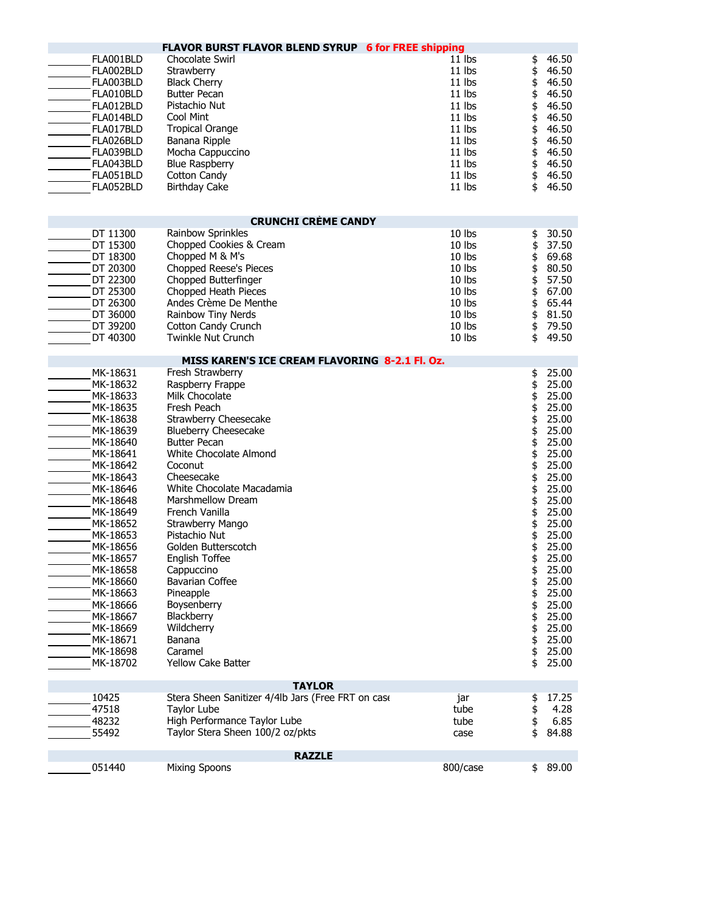| <b>FLAVOR BURST FLAVOR BLEND SYRUP 6 for FREE shipping</b> |                                                                     |  |          |                |       |  |  |
|------------------------------------------------------------|---------------------------------------------------------------------|--|----------|----------------|-------|--|--|
| FLA001BLD                                                  | <b>Chocolate Swirl</b>                                              |  | $11$ lbs | \$             | 46.50 |  |  |
| FLA002BLD                                                  | Strawberry                                                          |  | 11 lbs   | \$             | 46.50 |  |  |
| FLA003BLD                                                  | <b>Black Cherry</b>                                                 |  | 11 lbs   | \$             | 46.50 |  |  |
| FLA010BLD                                                  | <b>Butter Pecan</b>                                                 |  | 11 lbs   |                | 46.50 |  |  |
| FLA012BLD                                                  | Pistachio Nut                                                       |  | 11 lbs   | \$<br>\$       | 46.50 |  |  |
| FLA014BLD                                                  | Cool Mint                                                           |  | 11 lbs   | \$             | 46.50 |  |  |
| FLA017BLD                                                  | <b>Tropical Orange</b>                                              |  | 11 lbs   |                | 46.50 |  |  |
| FLA026BLD                                                  | Banana Ripple                                                       |  | $11$ lbs | \$<br>\$       | 46.50 |  |  |
| FLA039BLD                                                  | Mocha Cappuccino                                                    |  | 11 lbs   | \$             | 46.50 |  |  |
| FLA043BLD                                                  | <b>Blue Raspberry</b>                                               |  | 11 lbs   | \$             | 46.50 |  |  |
| FLA051BLD                                                  | Cotton Candy                                                        |  | $11$ lbs | \$             | 46.50 |  |  |
| FLA052BLD                                                  | <b>Birthday Cake</b>                                                |  | 11 lbs   | \$             | 46.50 |  |  |
|                                                            |                                                                     |  |          |                |       |  |  |
|                                                            | <b>CRUNCHI CRÈME CANDY</b>                                          |  |          |                |       |  |  |
| DT 11300                                                   | Rainbow Sprinkles                                                   |  | 10 lbs   | \$             | 30.50 |  |  |
| DT 15300                                                   | Chopped Cookies & Cream                                             |  | 10 lbs   | \$             | 37.50 |  |  |
| DT 18300                                                   | Chopped M & M's                                                     |  | 10 lbs   | \$             | 69.68 |  |  |
| DT 20300                                                   | Chopped Reese's Pieces                                              |  | 10 lbs   | \$             | 80.50 |  |  |
| DT 22300                                                   | Chopped Butterfinger                                                |  | 10 lbs   | \$             | 57.50 |  |  |
| DT 25300                                                   | Chopped Heath Pieces                                                |  | $10$ lbs |                | 67.00 |  |  |
| DT 26300                                                   | Andes Crème De Menthe                                               |  | 10 lbs   | \$             | 65.44 |  |  |
| DT 36000                                                   | Rainbow Tiny Nerds                                                  |  | 10 lbs   | \$<br>\$       | 81.50 |  |  |
| DT 39200                                                   | Cotton Candy Crunch                                                 |  | 10 lbs   | \$             | 79.50 |  |  |
| DT 40300                                                   | Twinkle Nut Crunch                                                  |  | 10 lbs   | \$             | 49.50 |  |  |
|                                                            |                                                                     |  |          |                |       |  |  |
|                                                            | MISS KAREN'S ICE CREAM FLAVORING 8-2.1 Fl. Oz.                      |  |          |                |       |  |  |
| MK-18631                                                   | Fresh Strawberry                                                    |  |          | \$             | 25.00 |  |  |
| MK-18632                                                   | Raspberry Frappe                                                    |  |          | \$             | 25.00 |  |  |
| MK-18633                                                   | Milk Chocolate                                                      |  |          | \$\$\$         | 25.00 |  |  |
| MK-18635                                                   | Fresh Peach                                                         |  |          |                | 25.00 |  |  |
| MK-18638                                                   | Strawberry Cheesecake                                               |  |          |                | 25.00 |  |  |
| MK-18639                                                   | <b>Blueberry Cheesecake</b>                                         |  |          |                | 25.00 |  |  |
| MK-18640                                                   | <b>Butter Pecan</b>                                                 |  |          |                | 25.00 |  |  |
| MK-18641                                                   | White Chocolate Almond                                              |  |          | \$\$\$\$       | 25.00 |  |  |
| MK-18642                                                   | Coconut                                                             |  |          |                | 25.00 |  |  |
| MK-18643                                                   | Cheesecake                                                          |  |          | \$\$\$\$\$\$\$ | 25.00 |  |  |
| MK-18646                                                   | White Chocolate Macadamia                                           |  |          |                | 25.00 |  |  |
| MK-18648                                                   | Marshmellow Dream                                                   |  |          |                | 25.00 |  |  |
| MK-18649                                                   | French Vanilla                                                      |  |          |                | 25.00 |  |  |
| MK-18652                                                   | Strawberry Mango                                                    |  |          |                | 25.00 |  |  |
| MK-18653                                                   | Pistachio Nut                                                       |  |          |                | 25.00 |  |  |
| MK-18656                                                   | Golden Butterscotch                                                 |  |          |                | 25.00 |  |  |
| MK-18657                                                   | English Toffee                                                      |  |          | \$             | 25.00 |  |  |
| MK-18658                                                   | Cappuccino                                                          |  |          |                | 25.00 |  |  |
| MK-18660                                                   | <b>Bavarian Coffee</b>                                              |  |          | \$<br>\$       | 25.00 |  |  |
| MK-18663                                                   | Pineapple                                                           |  |          | \$\$\$\$\$\$   | 25.00 |  |  |
| MK-18666                                                   | Boysenberry                                                         |  |          |                | 25.00 |  |  |
| MK-18667                                                   | Blackberry                                                          |  |          |                | 25.00 |  |  |
| MK-18669                                                   | Wildcherry                                                          |  |          |                | 25.00 |  |  |
| MK-18671                                                   | Banana                                                              |  |          |                | 25.00 |  |  |
| MK-18698                                                   | Caramel                                                             |  |          |                | 25.00 |  |  |
| MK-18702                                                   | <b>Yellow Cake Batter</b>                                           |  |          | \$             | 25.00 |  |  |
|                                                            |                                                                     |  |          |                |       |  |  |
| 10425                                                      | <b>TAYLOR</b><br>Stera Sheen Sanitizer 4/4lb Jars (Free FRT on case |  | jar      | \$             | 17.25 |  |  |
| 47518                                                      | <b>Taylor Lube</b>                                                  |  | tube     |                | 4.28  |  |  |
| 48232                                                      | High Performance Taylor Lube                                        |  | tube     | \$<br>\$       | 6.85  |  |  |
| 55492                                                      | Taylor Stera Sheen 100/2 oz/pkts                                    |  | case     | \$             | 84.88 |  |  |
|                                                            |                                                                     |  |          |                |       |  |  |
|                                                            | <b>RAZZLE</b>                                                       |  |          |                |       |  |  |
| 051440                                                     | <b>Mixing Spoons</b>                                                |  | 800/case | \$             | 89.00 |  |  |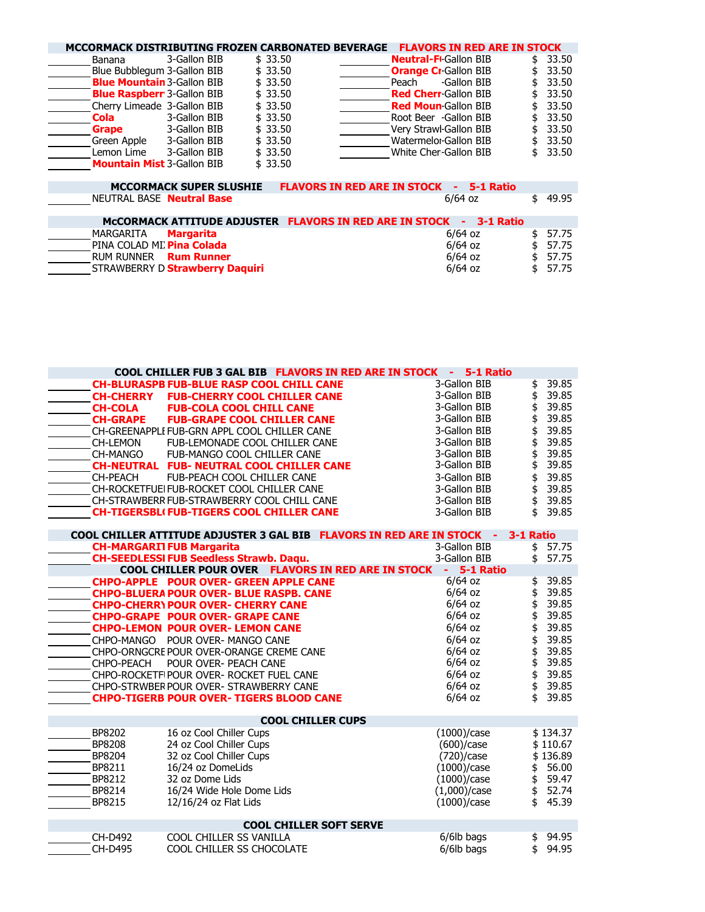| MCCORMACK DISTRIBUTING FROZEN CARBONATED BEVERAGE |              |         |  |       | <b>FLAVORS IN RED ARE IN STOCK</b> |       |
|---------------------------------------------------|--------------|---------|--|-------|------------------------------------|-------|
| Banana                                            | 3-Gallon BIB | \$33.50 |  |       | <b>Neutral-FI-Gallon BIB</b>       | 33.50 |
| Blue Bubblegum 3-Gallon BIB                       |              | \$33.50 |  |       | <b>Orange Cr</b> Gallon BIB        | 33.50 |
| <b>Blue Mountain</b> 3-Gallon BIB                 |              | \$33.50 |  | Peach | -Gallon BIB                        | 33.50 |
| <b>Blue Raspberr 3-Gallon BIB</b>                 |              | \$33.50 |  |       | <b>Red Cherr-Gallon BIB</b>        | 33.50 |
| Cherry Limeade 3-Gallon BIB                       |              | \$33.50 |  |       | <b>Red Moun</b> Gallon BIB         | 33.50 |
| <b>Cola</b>                                       | 3-Gallon BIB | \$33.50 |  |       | Root Beer - Gallon BIB             | 33.50 |
| <b>Grape</b>                                      | 3-Gallon BIB | \$33.50 |  |       | Very Strawl-Gallon BIB             | 33.50 |
| Green Apple                                       | 3-Gallon BIB | \$33.50 |  |       | Watermelor-Gallon BIB              | 33.50 |
| Lemon Lime                                        | 3-Gallon BIB | \$33.50 |  |       | White Cher-Gallon BIB              | 33.50 |
| <b>Mountain Mist 3-Gallon BIB</b>                 |              | \$33.50 |  |       |                                    |       |

| NEUTRAL BASE Neutral Base       | $6/64$ oz                                                           | \$49.95 |
|---------------------------------|---------------------------------------------------------------------|---------|
|                                 | McCORMACK ATTITUDE ADJUSTER FLAVORS IN RED ARE IN STOCK - 3-1 Ratio |         |
| Margarita<br>MARGARITA          | $6/64$ oz                                                           | \$57.75 |
| PINA COLAD MI: Pina Colada      | $6/64$ oz                                                           | \$57.75 |
| RUM RUNNER Rum Runner           | $6/64$ oz                                                           | \$57.75 |
| STRAWBERRY D Strawberry Daguiri | $6/64$ oz                                                           | \$57.75 |
|                                 |                                                                     |         |

**MCCORMACK SUPER SLUSHIE FLAVORS IN RED ARE IN STOCK - 5-1 Ratio** 

| COOL CHILLER FUB 3 GAL BIB FLAVORS IN RED ARE IN STOCK - 5-1 Ratio |                                                                             |              |                   |  |  |  |
|--------------------------------------------------------------------|-----------------------------------------------------------------------------|--------------|-------------------|--|--|--|
|                                                                    | <b>CH-BLURASPB FUB-BLUE RASP COOL CHILL CANE</b>                            | 3-Gallon BIB | 39.85<br>\$       |  |  |  |
| <b>CH-CHERRY</b>                                                   | <b>FUB-CHERRY COOL CHILLER CANE</b>                                         | 3-Gallon BIB | \$<br>39.85       |  |  |  |
| <b>CH-COLA</b>                                                     | <b>FUB-COLA COOL CHILL CANE</b>                                             | 3-Gallon BIB | \$<br>39.85       |  |  |  |
| <b>CH-GRAPE</b>                                                    | <b>FUB-GRAPE COOL CHILLER CANE</b>                                          | 3-Gallon BIB | \$<br>39.85       |  |  |  |
|                                                                    | CH-GREENAPPLI FUB-GRN APPL COOL CHILLER CANE                                | 3-Gallon BIB | 39.85             |  |  |  |
| <b>CH-LEMON</b>                                                    | FUB-LEMONADE COOL CHILLER CANE                                              | 3-Gallon BIB | 39.85             |  |  |  |
| <b>CH-MANGO</b>                                                    | FUB-MANGO COOL CHILLER CANE                                                 | 3-Gallon BIB | \$\$\$\$<br>39.85 |  |  |  |
| <b>CH-NEUTRAL</b>                                                  | <b>FUB- NEUTRAL COOL CHILLER CANE</b>                                       | 3-Gallon BIB | 39.85             |  |  |  |
| <b>CH-PEACH</b>                                                    | FUB-PEACH COOL CHILLER CANE                                                 | 3-Gallon BIB | \$<br>39.85       |  |  |  |
|                                                                    | CH-ROCKETFUEIFUB-ROCKET COOL CHILLER CANE                                   | 3-Gallon BIB | \$<br>39.85       |  |  |  |
|                                                                    | CH-STRAWBERR FUB-STRAWBERRY COOL CHILL CANE                                 | 3-Gallon BIB | \$<br>39.85       |  |  |  |
|                                                                    | <b>CH-TIGERSBL(FUB-TIGERS COOL CHILLER CANE</b>                             | 3-Gallon BIB | 39.85             |  |  |  |
|                                                                    |                                                                             |              |                   |  |  |  |
|                                                                    | <b>COOL CHILLER ATTITUDE ADJUSTER 3 GAL BIB FLAVORS IN RED ARE IN STOCK</b> | - 4          | 3-1 Ratio         |  |  |  |
|                                                                    | <b>CH-MARGARIT FUB Margarita</b>                                            | 3-Gallon BIB | \$<br>57.75       |  |  |  |
|                                                                    | <b>CH-SEEDLESSI FUB Seedless Strawb. Daqu.</b>                              | 3-Gallon BIB | 57.75<br>\$       |  |  |  |
|                                                                    | COOL CHILLER POUR OVER FLAVORS IN RED ARE IN STOCK - 5-1 Ratio              | $6/64$ oz    | 39.85             |  |  |  |
|                                                                    | <b>CHPO-APPLE POUR OVER- GREEN APPLE CANE</b>                               |              |                   |  |  |  |
|                                                                    | <b>CHPO-BLUERA POUR OVER- BLUE RASPB. CANE</b>                              | $6/64$ oz    | \$<br>39.85       |  |  |  |
|                                                                    | <b>CHPO-CHERRY POUR OVER- CHERRY CANE</b>                                   | $6/64$ oz    | \$<br>39.85       |  |  |  |
|                                                                    | <b>CHPO-GRAPE POUR OVER- GRAPE CANE</b>                                     | $6/64$ oz    | \$<br>39.85       |  |  |  |
|                                                                    | <b>CHPO-LEMON POUR OVER- LEMON CANE</b>                                     | $6/64$ oz    | \$\$\$\$<br>39.85 |  |  |  |
|                                                                    | CHPO-MANGO POUR OVER- MANGO CANE                                            | $6/64$ oz    | 39.85             |  |  |  |
|                                                                    | CHPO-ORNGCRE POUR OVER-ORANGE CREME CANE                                    | $6/64$ oz    | 39.85             |  |  |  |
| CHPO-PEACH                                                         | POUR OVER- PEACH CANE                                                       | $6/64$ oz    | 39.85             |  |  |  |
|                                                                    | CHPO-ROCKETFIPOUR OVER- ROCKET FUEL CANE                                    | $6/64$ oz    | \$<br>39.85       |  |  |  |
|                                                                    | CHPO-STRWBER POUR OVER- STRAWBERRY CANE                                     | $6/64$ oz    | \$<br>39.85       |  |  |  |
|                                                                    | <b>CHPO-TIGERB POUR OVER- TIGERS BLOOD CANE</b>                             | $6/64$ oz    | 39.85             |  |  |  |
|                                                                    | <b>COOL CHILLER CUPS</b>                                                    |              |                   |  |  |  |
| BP8202                                                             | 16 oz Cool Chiller Cups                                                     | (1000)/case  | \$134.37          |  |  |  |
| BP8208                                                             | 24 oz Cool Chiller Cups                                                     | (600)/case   | \$110.67          |  |  |  |
| BP8204                                                             | 32 oz Cool Chiller Cups                                                     | (720)/case   | \$136.89          |  |  |  |
| BP8211                                                             | 16/24 oz DomeLids                                                           | (1000)/case  | 56.00<br>\$       |  |  |  |
| BP8212                                                             | 32 oz Dome Lids                                                             | (1000)/case  | \$<br>59.47       |  |  |  |
| BP8214                                                             | 16/24 Wide Hole Dome Lids                                                   | (1,000)/case | İ,<br>52.74       |  |  |  |
| BP8215                                                             | 12/16/24 oz Flat Lids                                                       | (1000)/case  | 45.39             |  |  |  |
|                                                                    |                                                                             |              |                   |  |  |  |
|                                                                    | <b>COOL CHILLER SOFT SERVE</b>                                              |              |                   |  |  |  |
| CH-D492                                                            | COOL CHILLER SS VANILLA                                                     | 6/6lb bags   | 94.95<br>\$       |  |  |  |
| CH-D495                                                            | COOL CHILLER SS CHOCOLATE                                                   | 6/6lb bags   | \$<br>94.95       |  |  |  |